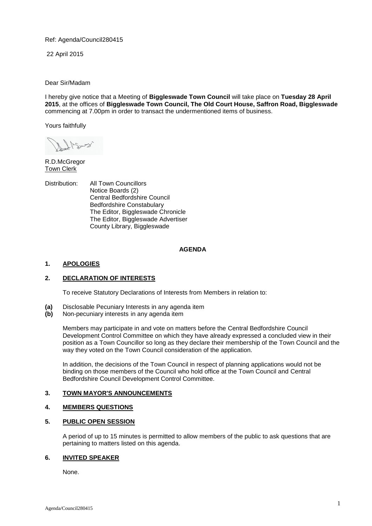Ref: Agenda/Council280415

22 April 2015

Dear Sir/Madam

I hereby give notice that a Meeting of **Biggleswade Town Council** will take place on **Tuesday 28 April 2015**, at the offices of **Biggleswade Town Council, The Old Court House, Saffron Road, Biggleswade** commencing at 7.00pm in order to transact the undermentioned items of business.

Yours faithfully

R.D.McGregor **Town Clerk** 

Distribution: All Town Councillors Notice Boards (2) Central Bedfordshire Council Bedfordshire Constabulary The Editor, Biggleswade Chronicle The Editor, Biggleswade Advertiser County Library, Biggleswade

## **AGENDA**

## **1. APOLOGIES**

## **2. DECLARATION OF INTERESTS**

To receive Statutory Declarations of Interests from Members in relation to:

- **(a)** Disclosable Pecuniary Interests in any agenda item
- **(b)** Non-pecuniary interests in any agenda item

Members may participate in and vote on matters before the Central Bedfordshire Council Development Control Committee on which they have already expressed a concluded view in their position as a Town Councillor so long as they declare their membership of the Town Council and the way they voted on the Town Council consideration of the application.

In addition, the decisions of the Town Council in respect of planning applications would not be binding on those members of the Council who hold office at the Town Council and Central Bedfordshire Council Development Control Committee.

## **3. TOWN MAYOR'S ANNOUNCEMENTS**

# **4. MEMBERS QUESTIONS**

## **5. PUBLIC OPEN SESSION**

A period of up to 15 minutes is permitted to allow members of the public to ask questions that are pertaining to matters listed on this agenda.

#### **6. INVITED SPEAKER**

None.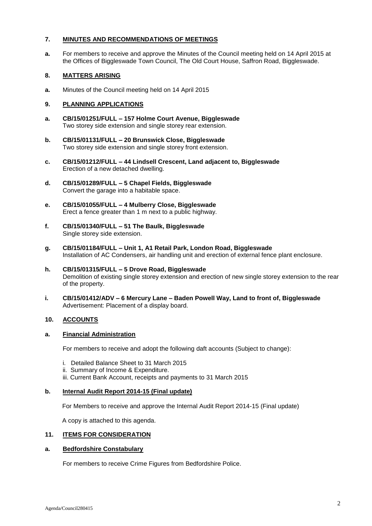### **7. MINUTES AND RECOMMENDATIONS OF MEETINGS**

**a.** For members to receive and approve the Minutes of the Council meeting held on 14 April 2015 at the Offices of Biggleswade Town Council, The Old Court House, Saffron Road, Biggleswade.

### **8. MATTERS ARISING**

**a.** Minutes of the Council meeting held on 14 April 2015

### **9. PLANNING APPLICATIONS**

- **a. CB/15/01251/FULL – 157 Holme Court Avenue, Biggleswade** Two storey side extension and single storey rear extension.
- **b. CB/15/01131/FULL – 20 Brunswick Close, Biggleswade** Two storey side extension and single storey front extension.
- **c. CB/15/01212/FULL – 44 Lindsell Crescent, Land adjacent to, Biggleswade** Erection of a new detached dwelling.
- **d. CB/15/01289/FULL – 5 Chapel Fields, Biggleswade** Convert the garage into a habitable space.
- **e. CB/15/01055/FULL – 4 Mulberry Close, Biggleswade** Erect a fence greater than 1 m next to a public highway.
- **f. CB/15/01340/FULL – 51 The Baulk, Biggleswade** Single storey side extension.
- **g. CB/15/01184/FULL – Unit 1, A1 Retail Park, London Road, Biggleswade** Installation of AC Condensers, air handling unit and erection of external fence plant enclosure.
- **h. CB/15/01315/FULL – 5 Drove Road, Biggleswade** Demolition of existing single storey extension and erection of new single storey extension to the rear of the property.
- **i. CB/15/01412/ADV – 6 Mercury Lane – Baden Powell Way, Land to front of, Biggleswade** Advertisement: Placement of a display board.

## **10. ACCOUNTS**

#### **a. Financial Administration**

For members to receive and adopt the following daft accounts (Subject to change):

- i. Detailed Balance Sheet to 31 March 2015
- ii. Summary of Income & Expenditure.
- iii. Current Bank Account, receipts and payments to 31 March 2015

#### **b. Internal Audit Report 2014-15 (Final update)**

For Members to receive and approve the Internal Audit Report 2014-15 (Final update)

A copy is attached to this agenda.

#### **11. ITEMS FOR CONSIDERATION**

#### **a. Bedfordshire Constabulary**

For members to receive Crime Figures from Bedfordshire Police.